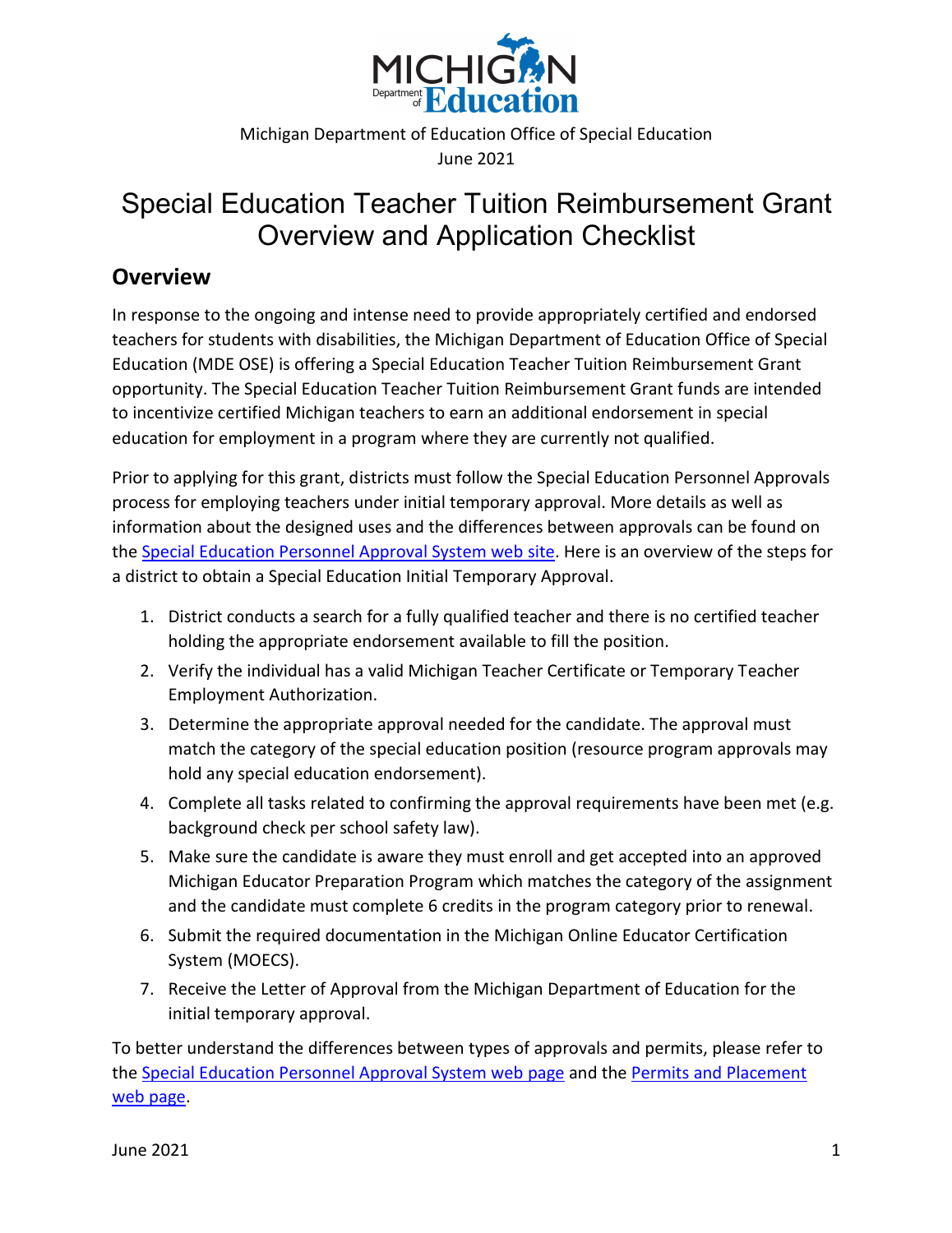

Michigan Department of Education Office of Special Education June 2021

## Special Education Teacher Tuition Reimbursement Grant Overview and Application Checklist

## **Overview**

In response to the ongoing and intense need to provide appropriately certified and endorsed teachers for students with disabilities, the Michigan Department of Education Office of Special Education (MDE OSE) is offering a Special Education Teacher Tuition Reimbursement Grant opportunity. The Special Education Teacher Tuition Reimbursement Grant funds are intended to incentivize certified Michigan teachers to earn an additional endorsement in special education for employment in a program where they are currently not qualified.

Prior to applying for this grant, districts must follow the Special Education Personnel Approvals process for employing teachers under initial temporary approval. More details as well as information about the designed uses and the differences between approvals can be found on the [Special Education Personnel Approval System web site](https://www.michigan.gov/mde/0,4615,7-140-6598_88188_40121---,00.html). Here is an overview of the steps for a district to obtain a Special Education Initial Temporary Approval.

- 1. District conducts a search for a fully qualified teacher and there is no certified teacher holding the appropriate endorsement available to fill the position.
- 2. Verify the individual has a valid Michigan Teacher Certificate or Temporary Teacher Employment Authorization.
- 3. Determine the appropriate approval needed for the candidate. The approval must match the category of the special education position (resource program approvals may hold any special education endorsement).
- 4. Complete all tasks related to confirming the approval requirements have been met (e.g. background check per school safety law).
- 5. Make sure the candidate is aware they must enroll and get accepted into an approved Michigan Educator Preparation Program which matches the category of the assignment and the candidate must complete 6 credits in the program category prior to renewal.
- 6. Submit the required documentation in the Michigan Online Educator Certification System (MOECS).
- 7. Receive the Letter of Approval from the Michigan Department of Education for the initial temporary approval.

To better understand the differences between types of approvals and permits, please refer to the [Special Education Personnel Approval System web page](https://www.michigan.gov/mde/0,4615,7-140-6598_88188_40121---,00.html) and the [Permits and Placement](https://www.michigan.gov/mde/0,4615,7-140-5683_14795_83467---,00.html)  [web page](https://www.michigan.gov/mde/0,4615,7-140-5683_14795_83467---,00.html).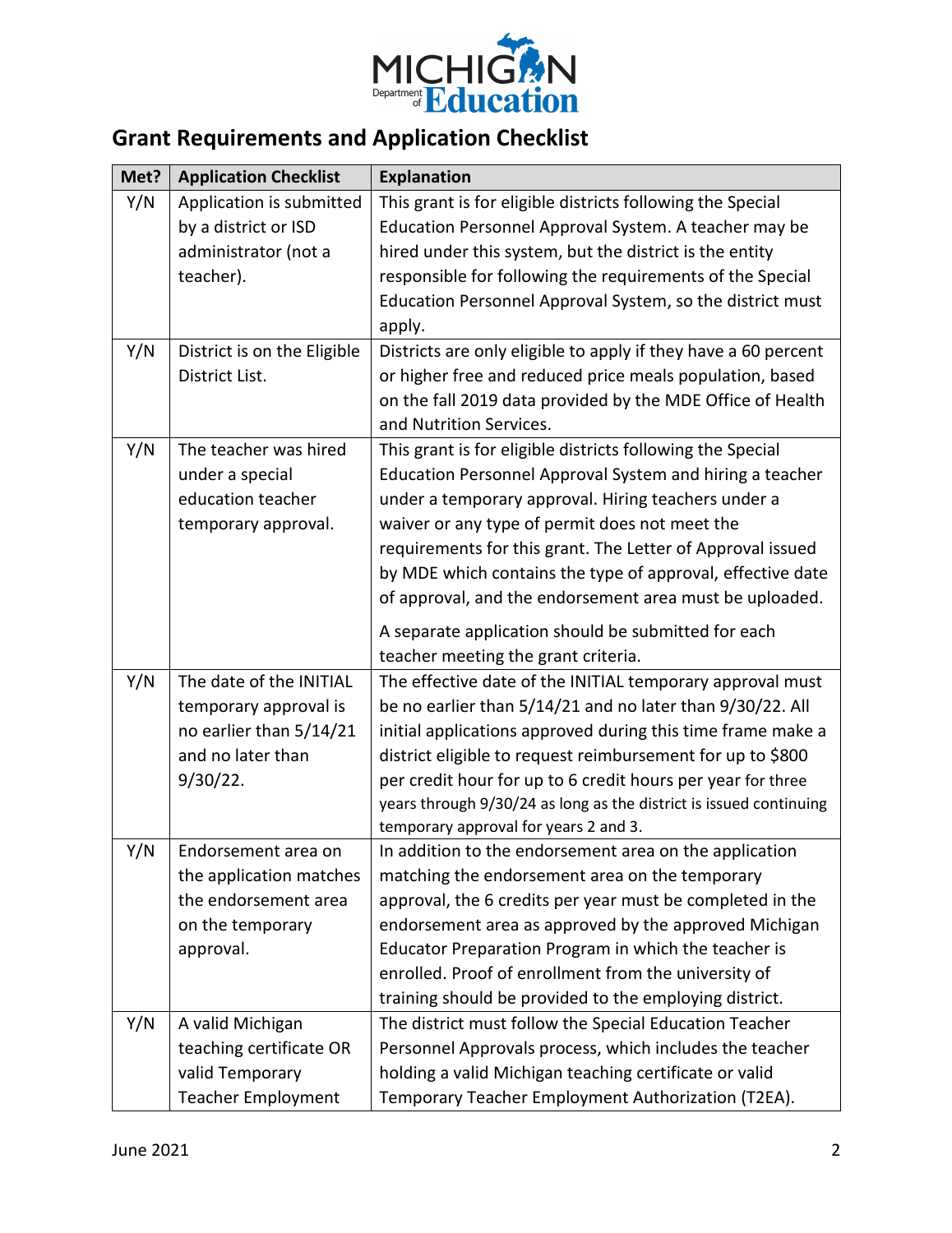

## **Grant Requirements and Application Checklist**

| Met? | <b>Application Checklist</b> | <b>Explanation</b>                                                 |
|------|------------------------------|--------------------------------------------------------------------|
| Y/N  | Application is submitted     | This grant is for eligible districts following the Special         |
|      | by a district or ISD         | Education Personnel Approval System. A teacher may be              |
|      | administrator (not a         | hired under this system, but the district is the entity            |
|      | teacher).                    | responsible for following the requirements of the Special          |
|      |                              | Education Personnel Approval System, so the district must          |
|      |                              | apply.                                                             |
| Y/N  | District is on the Eligible  | Districts are only eligible to apply if they have a 60 percent     |
|      | District List.               | or higher free and reduced price meals population, based           |
|      |                              | on the fall 2019 data provided by the MDE Office of Health         |
|      |                              | and Nutrition Services.                                            |
| Y/N  | The teacher was hired        | This grant is for eligible districts following the Special         |
|      | under a special              | Education Personnel Approval System and hiring a teacher           |
|      | education teacher            | under a temporary approval. Hiring teachers under a                |
|      | temporary approval.          | waiver or any type of permit does not meet the                     |
|      |                              | requirements for this grant. The Letter of Approval issued         |
|      |                              | by MDE which contains the type of approval, effective date         |
|      |                              | of approval, and the endorsement area must be uploaded.            |
|      |                              | A separate application should be submitted for each                |
|      |                              | teacher meeting the grant criteria.                                |
| Y/N  | The date of the INITIAL      | The effective date of the INITIAL temporary approval must          |
|      | temporary approval is        | be no earlier than 5/14/21 and no later than 9/30/22. All          |
|      | no earlier than 5/14/21      | initial applications approved during this time frame make a        |
|      | and no later than            | district eligible to request reimbursement for up to \$800         |
|      | $9/30/22$ .                  | per credit hour for up to 6 credit hours per year for three        |
|      |                              | years through 9/30/24 as long as the district is issued continuing |
|      |                              | temporary approval for years 2 and 3.                              |
| Y/N  | Endorsement area on          | In addition to the endorsement area on the application             |
|      | the application matches      | matching the endorsement area on the temporary                     |
|      | the endorsement area         | approval, the 6 credits per year must be completed in the          |
|      | on the temporary             | endorsement area as approved by the approved Michigan              |
|      | approval.                    | Educator Preparation Program in which the teacher is               |
|      |                              | enrolled. Proof of enrollment from the university of               |
|      |                              | training should be provided to the employing district.             |
| Y/N  | A valid Michigan             | The district must follow the Special Education Teacher             |
|      | teaching certificate OR      | Personnel Approvals process, which includes the teacher            |
|      | valid Temporary              | holding a valid Michigan teaching certificate or valid             |
|      | <b>Teacher Employment</b>    | Temporary Teacher Employment Authorization (T2EA).                 |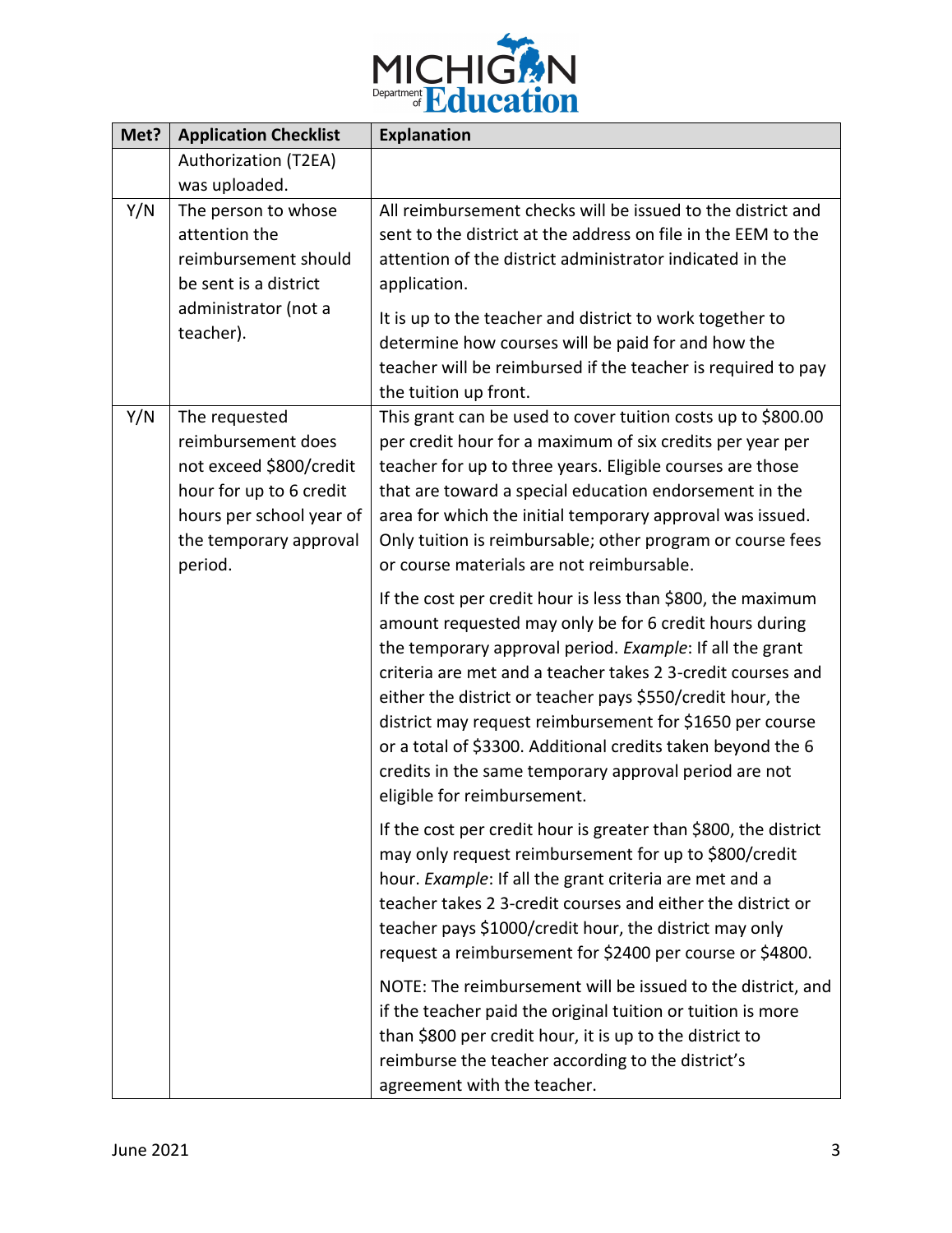

| Met? | <b>Application Checklist</b>                                                                                                                               | <b>Explanation</b>                                                                                                                                                                                                                                                                                                                                                                                                                                                                                                                |
|------|------------------------------------------------------------------------------------------------------------------------------------------------------------|-----------------------------------------------------------------------------------------------------------------------------------------------------------------------------------------------------------------------------------------------------------------------------------------------------------------------------------------------------------------------------------------------------------------------------------------------------------------------------------------------------------------------------------|
|      | Authorization (T2EA)<br>was uploaded.                                                                                                                      |                                                                                                                                                                                                                                                                                                                                                                                                                                                                                                                                   |
| Y/N  | The person to whose<br>attention the<br>reimbursement should<br>be sent is a district<br>administrator (not a<br>teacher).                                 | All reimbursement checks will be issued to the district and<br>sent to the district at the address on file in the EEM to the<br>attention of the district administrator indicated in the<br>application.<br>It is up to the teacher and district to work together to<br>determine how courses will be paid for and how the<br>teacher will be reimbursed if the teacher is required to pay<br>the tuition up front.                                                                                                               |
| Y/N  | The requested<br>reimbursement does<br>not exceed \$800/credit<br>hour for up to 6 credit<br>hours per school year of<br>the temporary approval<br>period. | This grant can be used to cover tuition costs up to \$800.00<br>per credit hour for a maximum of six credits per year per<br>teacher for up to three years. Eligible courses are those<br>that are toward a special education endorsement in the<br>area for which the initial temporary approval was issued.<br>Only tuition is reimbursable; other program or course fees<br>or course materials are not reimbursable.                                                                                                          |
|      |                                                                                                                                                            | If the cost per credit hour is less than \$800, the maximum<br>amount requested may only be for 6 credit hours during<br>the temporary approval period. Example: If all the grant<br>criteria are met and a teacher takes 2 3-credit courses and<br>either the district or teacher pays \$550/credit hour, the<br>district may request reimbursement for \$1650 per course<br>or a total of \$3300. Additional credits taken beyond the 6<br>credits in the same temporary approval period are not<br>eligible for reimbursement. |
|      |                                                                                                                                                            | If the cost per credit hour is greater than \$800, the district<br>may only request reimbursement for up to \$800/credit<br>hour. Example: If all the grant criteria are met and a<br>teacher takes 2 3-credit courses and either the district or<br>teacher pays \$1000/credit hour, the district may only<br>request a reimbursement for \$2400 per course or \$4800.                                                                                                                                                           |
|      |                                                                                                                                                            | NOTE: The reimbursement will be issued to the district, and<br>if the teacher paid the original tuition or tuition is more<br>than \$800 per credit hour, it is up to the district to<br>reimburse the teacher according to the district's<br>agreement with the teacher.                                                                                                                                                                                                                                                         |